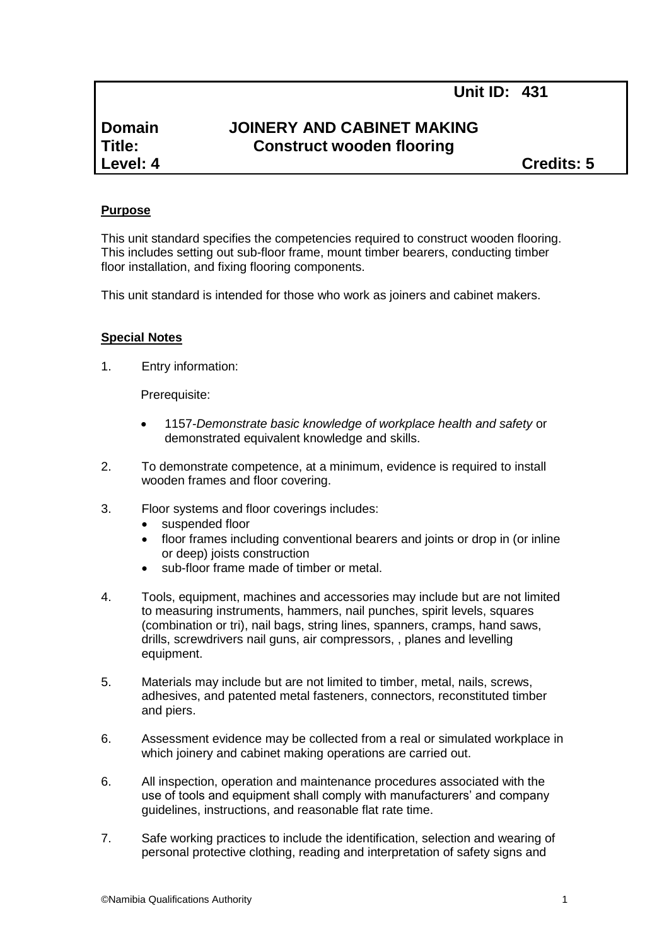# **Domain JOINERY AND CABINET MAKING Title: Construct wooden flooring**

**Level: 4 Credits: 5**

#### **Purpose**

This unit standard specifies the competencies required to construct wooden flooring. This includes setting out sub-floor frame, mount timber bearers, conducting timber floor installation, and fixing flooring components.

This unit standard is intended for those who work as joiners and cabinet makers.

#### **Special Notes**

1. Entry information:

Prerequisite:

- 1157*-Demonstrate basic knowledge of workplace health and safety* or demonstrated equivalent knowledge and skills.
- 2. To demonstrate competence, at a minimum, evidence is required to install wooden frames and floor covering.
- 3. Floor systems and floor coverings includes:
	- suspended floor
	- floor frames including conventional bearers and joints or drop in (or inline or deep) joists construction
	- sub-floor frame made of timber or metal.
- 4. Tools, equipment, machines and accessories may include but are not limited to measuring instruments, hammers, nail punches, spirit levels, squares (combination or tri), nail bags, string lines, spanners, cramps, hand saws, drills, screwdrivers nail guns, air compressors, , planes and levelling equipment.
- 5. Materials may include but are not limited to timber, metal, nails, screws, adhesives, and patented metal fasteners, connectors, reconstituted timber and piers.
- 6. Assessment evidence may be collected from a real or simulated workplace in which joinery and cabinet making operations are carried out.
- 6. All inspection, operation and maintenance procedures associated with the use of tools and equipment shall comply with manufacturers' and company guidelines, instructions, and reasonable flat rate time.
- 7. Safe working practices to include the identification, selection and wearing of personal protective clothing, reading and interpretation of safety signs and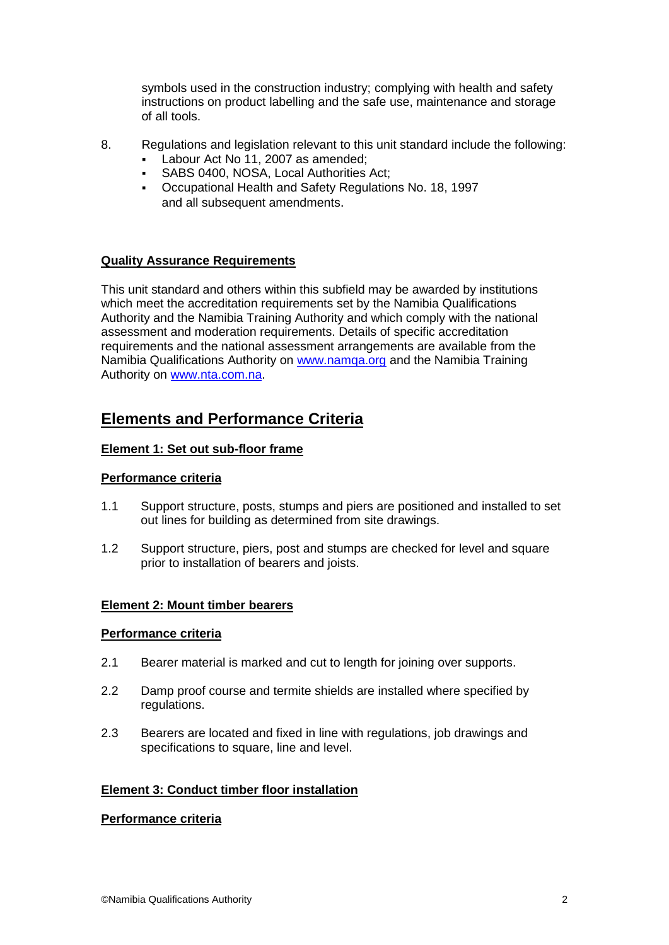symbols used in the construction industry; complying with health and safety instructions on product labelling and the safe use, maintenance and storage of all tools.

- 8. Regulations and legislation relevant to this unit standard include the following:
	- Labour Act No 11, 2007 as amended;
	- SABS 0400, NOSA, Local Authorities Act;
	- Occupational Health and Safety Regulations No. 18, 1997 and all subsequent amendments.

# **Quality Assurance Requirements**

This unit standard and others within this subfield may be awarded by institutions which meet the accreditation requirements set by the Namibia Qualifications Authority and the Namibia Training Authority and which comply with the national assessment and moderation requirements. Details of specific accreditation requirements and the national assessment arrangements are available from the Namibia Qualifications Authority on [www.namqa.org](http://www.namqa.org/) and the Namibia Training Authority on [www.nta.com.na.](http://www.nta.com.na/)

# **Elements and Performance Criteria**

# **Element 1: Set out sub-floor frame**

#### **Performance criteria**

- 1.1 Support structure, posts, stumps and piers are positioned and installed to set out lines for building as determined from site drawings.
- 1.2 Support structure, piers, post and stumps are checked for level and square prior to installation of bearers and joists.

# **Element 2: Mount timber bearers**

#### **Performance criteria**

- 2.1 Bearer material is marked and cut to length for joining over supports.
- 2.2 Damp proof course and termite shields are installed where specified by regulations.
- 2.3 Bearers are located and fixed in line with regulations, job drawings and specifications to square, line and level.

# **Element 3: Conduct timber floor installation**

#### **Performance criteria**